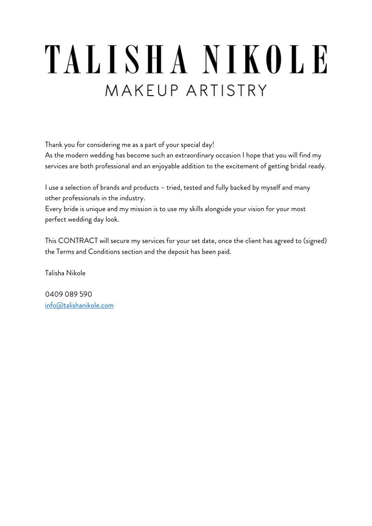# TALISHA NIKOLE MAKFUP ARTISTRY

Thank you for considering me as a part of your special day!

As the modern wedding has become such an extraordinary occasion I hope that you will find my services are both professional and an enjoyable addition to the excitement of getting bridal ready.

I use a selection of brands and products – tried, tested and fully backed by myself and many other professionals in the industry.

Every bride is unique and my mission is to use my skills alongside your vision for your most perfect wedding day look.

This CONTRACT will secure my services for your set date, once the client has agreed to (signed) the Terms and Conditions section and the deposit has been paid.

Talisha Nikole

0409 089 590 info@talishanikole.com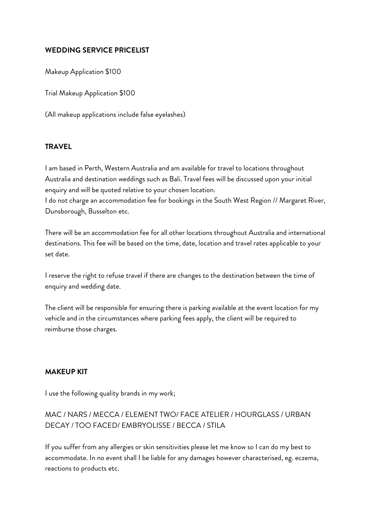## **WEDDING SERVICE PRICELIST**

Makeup Application \$100

Trial Makeup Application \$100

(All makeup applications include false eyelashes)

## **TRAVEL**

I am based in Perth, Western Australia and am available for travel to locations throughout Australia and destination weddings such as Bali. Travel fees will be discussed upon your initial enquiry and will be quoted relative to your chosen location.

I do not charge an accommodation fee for bookings in the South West Region // Margaret River, Dunsborough, Busselton etc.

There will be an accommodation fee for all other locations throughout Australia and international destinations. This fee will be based on the time, date, location and travel rates applicable to your set date.

I reserve the right to refuse travel if there are changes to the destination between the time of enquiry and wedding date.

The client will be responsible for ensuring there is parking available at the event location for my vehicle and in the circumstances where parking fees apply, the client will be required to reimburse those charges.

## **MAKEUP KIT**

I use the following quality brands in my work;

# MAC / NARS / MECCA / ELEMENT TWO/ FACE ATELIER / HOURGLASS / URBAN DECAY / TOO FACED/ EMBRYOLISSE / BECCA / STILA

If you suffer from any allergies or skin sensitivities please let me know so I can do my best to accommodate. In no event shall I be liable for any damages however characterised, eg. eczema, reactions to products etc.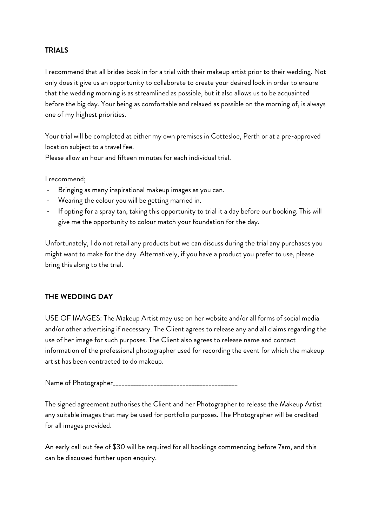## **TRIALS**

I recommend that all brides book in for a trial with their makeup artist prior to their wedding. Not only does it give us an opportunity to collaborate to create your desired look in order to ensure that the wedding morning is as streamlined as possible, but it also allows us to be acquainted before the big day. Your being as comfortable and relaxed as possible on the morning of, is always one of my highest priorities.

Your trial will be completed at either my own premises in Cottesloe, Perth or at a pre-approved location subject to a travel fee.

Please allow an hour and fifteen minutes for each individual trial.

I recommend;

- Bringing as many inspirational makeup images as you can.
- Wearing the colour you will be getting married in.
- If opting for a spray tan, taking this opportunity to trial it a day before our booking. This will give me the opportunity to colour match your foundation for the day.

Unfortunately, I do not retail any products but we can discuss during the trial any purchases you might want to make for the day. Alternatively, if you have a product you prefer to use, please bring this along to the trial.

## **THE WEDDING DAY**

USE OF IMAGES: The Makeup Artist may use on her website and/or all forms of social media and/or other advertising if necessary. The Client agrees to release any and all claims regarding the use of her image for such purposes. The Client also agrees to release name and contact information of the professional photographer used for recording the event for which the makeup artist has been contracted to do makeup.

Name of Photographer\_\_\_\_\_\_\_\_\_\_\_\_\_\_\_\_\_\_\_\_\_\_\_\_\_\_\_\_\_\_\_\_\_\_\_\_\_\_\_\_\_\_\_

The signed agreement authorises the Client and her Photographer to release the Makeup Artist any suitable images that may be used for portfolio purposes. The Photographer will be credited for all images provided.

An early call out fee of \$30 will be required for all bookings commencing before 7am, and this can be discussed further upon enquiry.